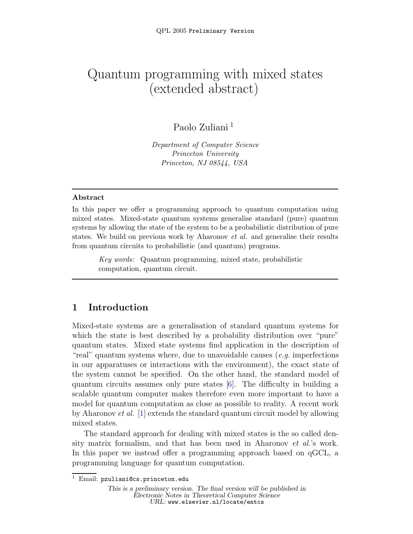# Quantum programming with mixed states (extended abstract)

## Paolo Zuliani <sup>1</sup>

Department of Computer Science Princeton University Princeton, NJ 08544, USA

#### Abstract

In this paper we offer a programming approach to quantum computation using mixed states. Mixed-state quantum systems generalise standard (pure) quantum systems by allowing the state of the system to be a probabilistic distribution of pure states. We build on previous work by Aharonov *et al.* and generalise their results from quantum circuits to probabilistic (and quantum) programs.

Key words: Quantum programming, mixed state, probabilistic computation, quantum circuit.

## 1 Introduction

Mixed-state systems are a generalisation of standard quantum systems for which the state is best described by a probability distribution over "pure" quantum states. Mixed state systems find application in the description of "real" quantum systems where, due to unavoidable causes  $(e.g.$  imperfections in our apparatuses or interactions with the environment), the exact state of the system cannot be specified. On the other hand, the standard model of quantum circuits assumes only pure states  $[6]$ . The difficulty in building a scalable quantum computer makes therefore even more important to have a model for quantum computation as close as possible to reality. A recent work by Aharonov et al. [\[1\]](#page-10-1) extends the standard quantum circuit model by allowing mixed states.

The standard approach for dealing with mixed states is the so called density matrix formalism, and that has been used in Aharonov et al.'s work. In this paper we instead offer a programming approach based on qGCL, a programming language for quantum computation.

 $^1$  Email: pzuliani@cs.princeton.edu

This is a preliminary version. The final version will be published in Electronic Notes in Theoretical Computer Science URL: www.elsevier.nl/locate/entcs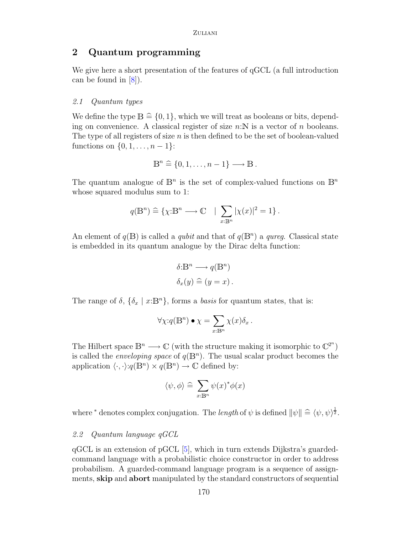## 2 Quantum programming

We give here a short presentation of the features of qGCL (a full introduction can be found in  $[8]$ .

#### 2.1 Quantum types

We define the type  $\mathbb{B} \cong \{0, 1\}$ , which we will treat as booleans or bits, depend-<br>in a subsequential of a large large the set of  $\mathbb{R}$  is a subsequently of a large set ing on convenience. A classical register of size  $n:\mathbb{N}$  is a vector of n booleans. The type of all registers of size  $n$  is then defined to be the set of boolean-valued functions on  $\{0, 1, \ldots, n-1\}$ :

$$
\mathbb{B}^n \stackrel{\sim}{=} \{0, 1, \ldots, n-1\} \longrightarrow \mathbb{B} \ .
$$

The quantum analogue of  $\mathbb{B}^n$  is the set of complex-valued functions on  $\mathbb{B}^n$ whose squared modulus sum to 1:

$$
q(\mathbb{B}^n) \stackrel{\sim}{=} \{ \chi : \mathbb{B}^n \longrightarrow \mathbb{C} \quad | \sum_{x : \mathbb{B}^n} |\chi(x)|^2 = 1 \}.
$$

An element of  $q(\mathbb{B})$  is called a *qubit* and that of  $q(\mathbb{B}^n)$  a *qureg*. Classical state is embedded in its quantum analogue by the Dirac delta function:

$$
\delta: \mathbb{B}^n \longrightarrow q(\mathbb{B}^n)
$$
  

$$
\delta_x(y) \stackrel{\sim}{=} (y = x).
$$

The range of  $\delta$ ,  $\{\delta_x \mid x : \mathbb{B}^n\}$ , forms a *basis* for quantum states, that is:

$$
\forall \chi \! : \! q(\mathbb{B}^n) \bullet \chi = \sum_{x: \mathbb{B}^n} \chi(x) \delta_x \, .
$$

The Hilbert space  $\mathbb{B}^n \longrightarrow \mathbb{C}$  (with the structure making it isomorphic to  $\mathbb{C}^{2^n}$ ) is called the *enveloping space* of  $q(\mathbb{B}^n)$ . The usual scalar product becomes the application  $\langle \cdot, \cdot \rangle : q(\mathbb{B}^n) \times q(\mathbb{B}^n) \to \mathbb{C}$  defined by:

$$
\langle \psi, \phi \rangle \cong \sum_{x : \mathbb{B}^n} \psi(x)^* \phi(x)
$$

where <sup>\*</sup> denotes complex conjugation. The *length* of  $\psi$  is defined  $\|\psi\| \triangleq \langle \psi, \psi \rangle^{\frac{1}{2}}$ .

#### 2.2 Quantum language qGCL

qGCL is an extension of pGCL [\[5\]](#page-10-3), which in turn extends Dijkstra's guardedcommand language with a probabilistic choice constructor in order to address probabilism. A guarded-command language program is a sequence of assignments, skip and abort manipulated by the standard constructors of sequential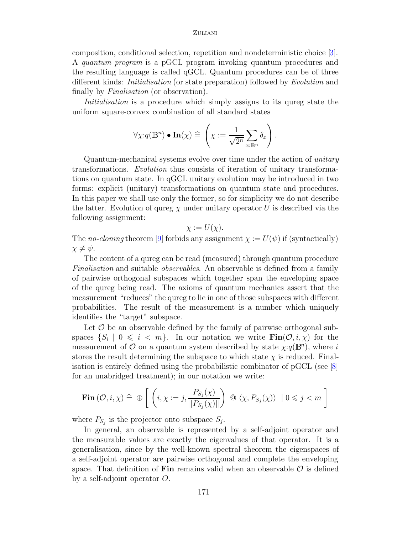composition, conditional selection, repetition and nondeterministic choice [\[3\]](#page-10-4). A quantum program is a pGCL program invoking quantum procedures and the resulting language is called qGCL. Quantum procedures can be of three different kinds: Initialisation (or state preparation) followed by Evolution and finally by *Finalisation* (or observation).

Initialisation is a procedure which simply assigns to its qureg state the uniform square-convex combination of all standard states

$$
\forall \chi: q(\mathbb{B}^n) \bullet \mathbf{In}(\chi) \widehat{=} \left(\chi := \frac{1}{\sqrt{2^n}} \sum_{x : \mathbb{B}^n} \delta_x \right).
$$

Quantum-mechanical systems evolve over time under the action of unitary transformations. Evolution thus consists of iteration of unitary transformations on quantum state. In qGCL unitary evolution may be introduced in two forms: explicit (unitary) transformations on quantum state and procedures. In this paper we shall use only the former, so for simplicity we do not describe the latter. Evolution of qureg  $\chi$  under unitary operator U is described via the following assignment:

$$
\chi := U(\chi).
$$

The no-cloning theorem [\[9\]](#page-10-5) forbids any assignment  $\chi := U(\psi)$  if (syntactically)  $\chi \neq \psi$ .

The content of a qureg can be read (measured) through quantum procedure Finalisation and suitable observables. An observable is defined from a family of pairwise orthogonal subspaces which together span the enveloping space of the qureg being read. The axioms of quantum mechanics assert that the measurement "reduces" the qureg to lie in one of those subspaces with different probabilities. The result of the measurement is a number which uniquely identifies the "target" subspace.

Let  $\mathcal O$  be an observable defined by the family of pairwise orthogonal subspaces  $\{S_i \mid 0 \leq i \leq m\}$ . In our notation we write  $\text{Fin}(\mathcal{O}, i, \chi)$  for the measurement of  $O$  on a quantum system described by state  $\chi$ : $q(\mathbb{B}^n)$ , where i stores the result determining the subspace to which state  $\chi$  is reduced. Finalisation is entirely defined using the probabilistic combinator of pGCL (see [\[8\]](#page-10-2) for an unabridged treatment); in our notation we write:

$$
\mathbf{Fin}(\mathcal{O}, i, \chi) \,\widehat{=}\,\,\oplus \,\left[\,\left(i, \chi := j, \frac{P_{S_j}(\chi)}{\|P_{S_j}(\chi)\|}\right)\,\,\text{or}\,\,\langle \chi, P_{S_j}(\chi) \rangle \,\,\big|\,\, 0 \leqslant j < m\,\,\right]
$$

where  $P_{S_j}$  is the projector onto subspace  $S_j$ .

In general, an observable is represented by a self-adjoint operator and the measurable values are exactly the eigenvalues of that operator. It is a generalisation, since by the well-known spectral theorem the eigenspaces of a self-adjoint operator are pairwise orthogonal and complete the enveloping space. That definition of Fin remains valid when an observable  $\mathcal O$  is defined by a self-adjoint operator O.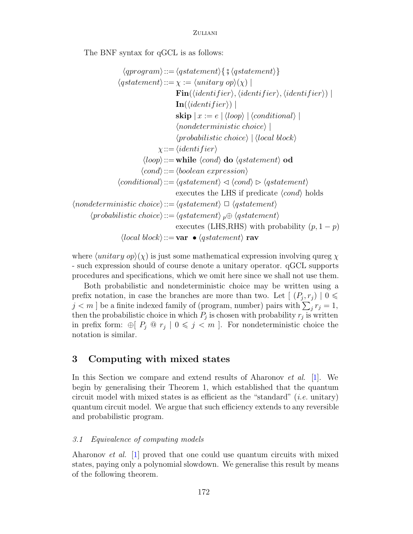The BNF syntax for qGCL is as follows:

$$
\langle qprogram \rangle ::= \langle qstatement \rangle \{ \} \langle qstatement \rangle \}
$$
\n
$$
\langle qstatement \rangle ::= \chi := \langle unitary \ op \rangle(\chi) |
$$
\n
$$
Fin(\langle identifier \rangle, \langle identifier \rangle, \langle identifier \rangle) |
$$
\n
$$
Ship | x := e | \langle loop \rangle | \langle conditional \rangle |
$$
\n
$$
\langle nondeterministic \ choice \rangle |
$$
\n
$$
\langle probabilistic \ choice \rangle | \langle local \ block \rangle
$$
\n
$$
\chi ::= \langle identifier \rangle
$$
\n
$$
\langle loop \rangle ::= while \langle cond \rangle \ do \langle qstatement \rangle \ od
$$
\n
$$
\langle cond \rangle ::= \langle boolean \ expression \rangle
$$
\n
$$
\langle conditional \rangle ::= \langle qstatement \rangle \lhd \langle cond \rangle \rhd \langle gstatement \rangle
$$
\n
$$
\langle nondeterministic \ choice \rangle ::= \langle qstatement \rangle \sqsubset \langle qstatement \rangle
$$
\n
$$
\langle probabilistic \ choice \rangle ::= \langle qstatement \rangle p \oplus \langle qstatement \rangle
$$
\n
$$
\langle local \ block \rangle ::= \text{var} \bullet \langle qstatement \rangle \text{rav}
$$

where  $\langle unitary op \rangle(\chi)$  is just some mathematical expression involving qureg  $\chi$ - such expression should of course denote a unitary operator. qGCL supports procedures and specifications, which we omit here since we shall not use them.

Both probabilistic and nondeterministic choice may be written using a prefix notation, in case the branches are more than two. Let  $[ (P_j, r_j) | 0 \leq$  $j < m$  ] be a finite indexed family of (program, number) pairs with  $\sum_{j}^{ } r_j = 1$ , then the probabilistic choice in which  $P_j$  is chosen with probability  $r_j$  is written in prefix form:  $\bigoplus P_j \subseteq r_j \mid 0 \leq j \leq m$ . For nondeterministic choice the notation is similar.

## 3 Computing with mixed states

In this Section we compare and extend results of Aharonov *et al.* [\[1\]](#page-10-1). We begin by generalising their Theorem 1, which established that the quantum circuit model with mixed states is as efficient as the "standard" (*i.e.* unitary) quantum circuit model. We argue that such efficiency extends to any reversible and probabilistic program.

#### 3.1 Equivalence of computing models

<span id="page-3-0"></span>Aharonov et al. [\[1\]](#page-10-1) proved that one could use quantum circuits with mixed states, paying only a polynomial slowdown. We generalise this result by means of the following theorem.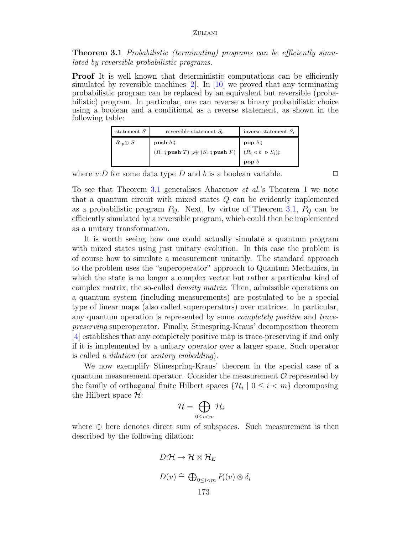Theorem 3.1 Probabilistic (terminating) programs can be efficiently simulated by reversible probabilistic programs.

**Proof** It is well known that deterministic computations can be efficiently simulated by reversible machines  $\boxed{2}$ . In  $\boxed{10}$  we proved that any terminating probabilistic program can be replaced by an equivalent but reversible (probabilistic) program. In particular, one can reverse a binary probabilistic choice using a boolean and a conditional as a reverse statement, as shown in the following table:

| statement S    | reversible statement $S_r$                                                                          | inverse statement $S_i$                     |
|----------------|-----------------------------------------------------------------------------------------------------|---------------------------------------------|
| $R_p \oplus S$ | push $b \hat{y}$                                                                                    | pop $b$ ;                                   |
|                | $(R_r \mathbin{\S} \mathbf{push}\ T) \mathbin{{\Bbb P}} \oplus (S_r \mathbin{\S} \mathbf{push}\ F)$ | $(R_i \triangleleft b \triangleright S_i)\$ |
|                |                                                                                                     | $\mathbf{pop}\;b$                           |

where  $v:D$  for some data type D and b is a boolean variable.  $\Box$ 

To see that Theorem [3.1](#page-3-0) generalises Aharonov et al.'s Theorem 1 we note that a quantum circuit with mixed states  $Q$  can be evidently implemented as a probabilistic program  $P_Q$ . Next, by virtue of Theorem [3.1,](#page-3-0)  $P_Q$  can be efficiently simulated by a reversible program, which could then be implemented as a unitary transformation.

It is worth seeing how one could actually simulate a quantum program with mixed states using just unitary evolution. In this case the problem is of course how to simulate a measurement unitarily. The standard approach to the problem uses the "superoperator" approach to Quantum Mechanics, in which the state is no longer a complex vector but rather a particular kind of complex matrix, the so-called *density matrix*. Then, admissible operations on a quantum system (including measurements) are postulated to be a special type of linear maps (also called superoperators) over matrices. In particular, any quantum operation is represented by some completely positive and tracepreserving superoperator. Finally, Stinespring-Kraus' decomposition theorem [\[4\]](#page-10-8) establishes that any completely positive map is trace-preserving if and only if it is implemented by a unitary operator over a larger space. Such operator is called a dilation (or unitary embedding).

We now exemplify Stinespring-Kraus' theorem in the special case of a quantum measurement operator. Consider the measurement  $\mathcal O$  represented by the family of orthogonal finite Hilbert spaces  $\{\mathcal{H}_i \mid 0 \leq i \leq m\}$  decomposing the Hilbert space  $\mathcal{H}$ :

$$
\mathcal{H}=\bigoplus_{0\leq i
$$

where ⊕ here denotes direct sum of subspaces. Such measurement is then described by the following dilation:

$$
D: \mathcal{H} \to \mathcal{H} \otimes \mathcal{H}_E
$$
  

$$
D(v) \hat{=} \bigoplus_{0 \le i < m} P_i(v) \otimes \delta_i
$$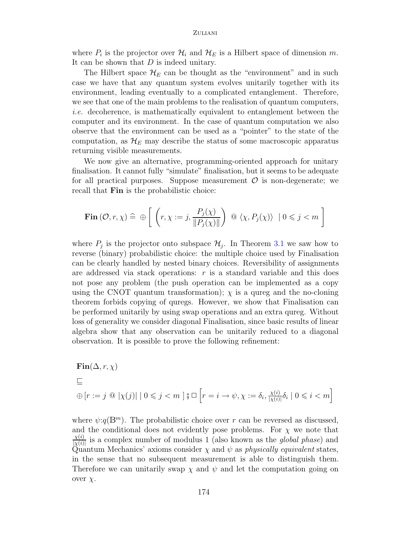where  $P_i$  is the projector over  $\mathcal{H}_i$  and  $\mathcal{H}_E$  is a Hilbert space of dimension m. It can be shown that  $D$  is indeed unitary.

The Hilbert space  $\mathcal{H}_E$  can be thought as the "environment" and in such case we have that any quantum system evolves unitarily together with its environment, leading eventually to a complicated entanglement. Therefore, we see that one of the main problems to the realisation of quantum computers, i.e. decoherence, is mathematically equivalent to entanglement between the computer and its environment. In the case of quantum computation we also observe that the environment can be used as a "pointer" to the state of the computation, as  $\mathcal{H}_E$  may describe the status of some macroscopic apparatus returning visible measurements.

We now give an alternative, programming-oriented approach for unitary finalisation. It cannot fully "simulate" finalisation, but it seems to be adequate for all practical purposes. Suppose measurement  $\mathcal O$  is non-degenerate; we recall that Fin is the probabilistic choice:

$$
\mathbf{Fin}(\mathcal{O}, r, \chi) \,\,\widehat{=}\,\,\oplus\,\,\left[\,\,\left(r, \chi := j, \frac{P_j(\chi)}{\|P_j(\chi)\|}\right)\,\,\text{or}\,\,\langle\chi, P_j(\chi)\rangle \,\,\left|\,0 \leqslant j < m\,\,\right]\right]
$$

where  $P_j$  is the projector onto subspace  $\mathcal{H}_j$ . In Theorem [3.1](#page-3-0) we saw how to reverse (binary) probabilistic choice: the multiple choice used by Finalisation can be clearly handled by nested binary choices. Reversibility of assignments are addressed via stack operations:  $r$  is a standard variable and this does not pose any problem (the push operation can be implemented as a copy using the CNOT quantum transformation);  $\chi$  is a qureg and the no-cloning theorem forbids copying of quregs. However, we show that Finalisation can be performed unitarily by using swap operations and an extra qureg. Without loss of generality we consider diagonal Finalisation, since basic results of linear algebra show that any observation can be unitarily reduced to a diagonal observation. It is possible to prove the following refinement:

$$
\begin{aligned} &\textbf{Fin}(\Delta,r,\chi)\\ &\sqsubseteq\\ &\oplus\left[r:=j\,\, @\,\left|\chi(j)\right|\mid 0\leqslant j < m\,\,\right]\S\,\Box\,\Big[r=i\rightarrow \psi,\chi:=\delta_i,\tfrac{\chi(i)}{|\chi(i)|}\delta_i\mid 0\leqslant i < m\Big] \end{aligned}
$$

where  $\psi:q(\mathbb{B}^m)$ . The probabilistic choice over r can be reversed as discussed, and the conditional does not evidently pose problems. For  $\chi$  we note that  $\chi(i)$  $\frac{\chi(i)}{|\chi(i)|}$  is a complex number of modulus 1 (also known as the *global phase*) and Quantum Mechanics' axioms consider  $\chi$  and  $\psi$  as physically equivalent states, in the sense that no subsequent measurement is able to distinguish them. Therefore we can unitarily swap  $\chi$  and  $\psi$  and let the computation going on over  $\chi$ .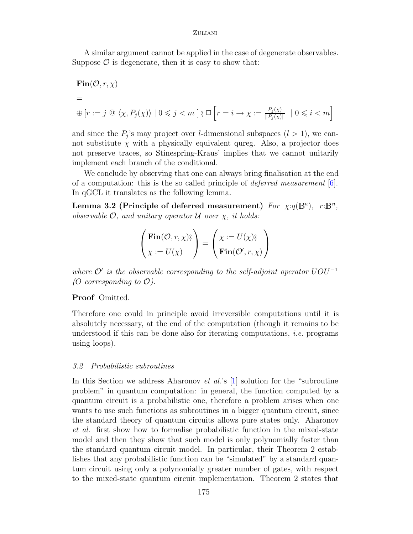A similar argument cannot be applied in the case of degenerate observables. Suppose  $\mathcal O$  is degenerate, then it is easy to show that:

$$
Fin(\mathcal{O}, r, \chi)
$$
  
=  

$$
\bigoplus \left[ r := j \text{ @ } \langle \chi, P_j(\chi) \rangle \mid 0 \leq j < m \right] \S \square \left[ r = i \to \chi := \frac{P_j(\chi)}{\|P_j(\chi)\|} \mid 0 \leq i < m \right]
$$

and since the  $P_j$ 's may project over *l*-dimensional subspaces  $(l > 1)$ , we cannot substitute  $\chi$  with a physically equivalent qureg. Also, a projector does not preserve traces, so Stinespring-Kraus' implies that we cannot unitarily implement each branch of the conditional.

We conclude by observing that one can always bring finalisation at the end of a computation: this is the so called principle of deferred measurement [\[6\]](#page-10-0). In qGCL it translates as the following lemma.

Lemma 3.2 (Principle of deferred measurement) For  $\chi$ : $q(\mathbb{B}^n)$ ,  $r:\mathbb{B}^n$ , observable  $\mathcal{O}$ , and unitary operator  $\mathcal U$  over  $\chi$ , it holds:

$$
\begin{pmatrix} \textbf{Fin}(\mathcal{O}, r, \chi) \mathbf{S} \\ \chi := U(\chi) \end{pmatrix} = \begin{pmatrix} \chi := U(\chi) \mathbf{S} \\ \textbf{Fin}(\mathcal{O}', r, \chi) \end{pmatrix}
$$

where  $\mathcal{O}'$  is the observable corresponding to the self-adjoint operator  $UOU^{-1}$ (O corresponding to  $\mathcal{O}$ ).

#### Proof Omitted.

Therefore one could in principle avoid irreversible computations until it is absolutely necessary, at the end of the computation (though it remains to be understood if this can be done also for iterating computations, *i.e.* programs using loops).

#### 3.2 Probabilistic subroutines

In this Section we address Aharonov *et al.*'s [\[1\]](#page-10-1) solution for the "subroutine" problem" in quantum computation: in general, the function computed by a quantum circuit is a probabilistic one, therefore a problem arises when one wants to use such functions as subroutines in a bigger quantum circuit, since the standard theory of quantum circuits allows pure states only. Aharonov et al. first show how to formalise probabilistic function in the mixed-state model and then they show that such model is only polynomially faster than the standard quantum circuit model. In particular, their Theorem 2 establishes that any probabilistic function can be "simulated" by a standard quantum circuit using only a polynomially greater number of gates, with respect to the mixed-state quantum circuit implementation. Theorem 2 states that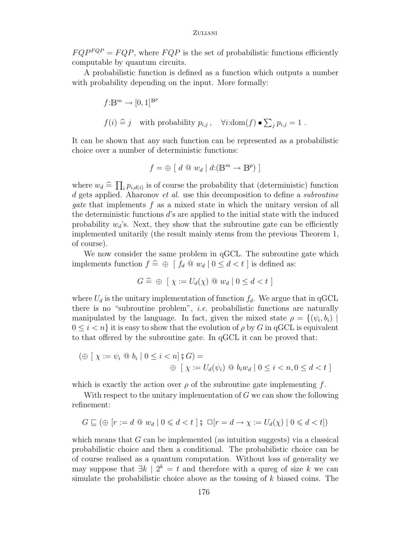$FQP^{FQP} = FQP$ , where  $FQP$  is the set of probabilistic functions efficiently computable by quantum circuits.

A probabilistic function is defined as a function which outputs a number with probability depending on the input. More formally:

$$
\label{eq:2} \begin{split} f\text{:}\mathbb{B}^m&\to [0,1]^{\mathbb{B}^p}\\ f(i)&\stackrel{\frown}{=}} j\quad\text{with probability }p_{i,j}\,,\quad\forall i\text{:dom}(f)\bullet\sum_j p_{i,j}=1\;. \end{split}
$$

It can be shown that any such function can be represented as a probabilistic choice over a number of deterministic functions:

$$
f = \bigoplus \left[ d \mathbb{Q} \ w_d \mid d(\mathbb{B}^m \to \mathbb{B}^p) \right]
$$

where  $w_d \nightharpoonup \prod_i p_{i,d(i)}$  is of course the probability that (deterministic) function d gets applied. Aharonov *et al.* use this decomposition to define a *subroutine* gate that implements f as a mixed state in which the unitary version of all the deterministic functions d's are applied to the initial state with the induced probability  $w_d$ 's. Next, they show that the subroutine gate can be efficiently implemented unitarily (the result mainly stems from the previous Theorem 1, of course).

We now consider the same problem in qGCL. The subroutine gate which implements function  $f \,\widehat{=} \,\oplus \,\left[ f_d \,\otimes \,w_d \,\right] 0 \leq d < t$  ] is defined as:

$$
G \,\widehat{=}\,\oplus\, [\,\chi := U_d(\chi)\,\,\textcircled{1}\,w_d\mid 0 \leq d < t\,\,]
$$

where  $U_d$  is the unitary implementation of function  $f_d$ . We argue that in qGCL there is no "subroutine problem", i.e. probabilistic functions are naturally manipulated by the language. In fact, given the mixed state  $\rho = \{(\psi_i, b_i) \mid$  $0 \leq i \leq n$  it is easy to show that the evolution of  $\rho$  by G in qGCL is equivalent to that offered by the subroutine gate. In qGCL it can be proved that:

$$
(\oplus \left[ \chi := \psi_i \otimes b_i \mid 0 \le i < n \right] \mathfrak{z} \cdot G) =
$$
  

$$
\oplus \left[ \chi := U_d(\psi_i) \otimes b_i w_d \mid 0 \le i < n, 0 \le d < t \right]
$$

which is exactly the action over  $\rho$  of the subroutine gate implementing f.

With respect to the unitary implementation of  $G$  we can show the following refinement:

$$
G \sqsubseteq (\oplus \ [r := d \ @ \ w_d \mid 0 \leq d < t \ ] \S \ \Box [r = d \rightarrow \chi := U_d(\chi) \mid 0 \leq d < t])
$$

which means that  $G$  can be implemented (as intuition suggests) via a classical probabilistic choice and then a conditional. The probabilistic choice can be of course realised as a quantum computation. Without loss of generality we may suppose that  $\exists k \mid 2^k = t$  and therefore with a qureg of size k we can simulate the probabilistic choice above as the tossing of  $k$  biased coins. The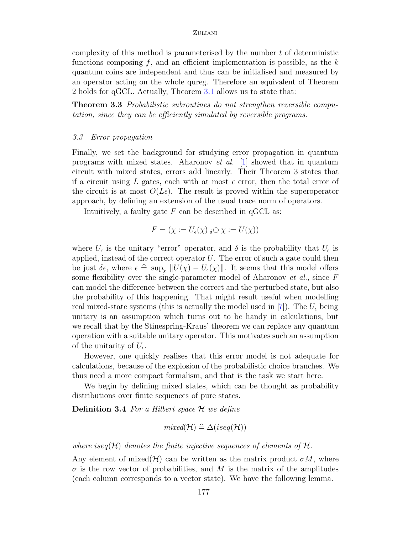complexity of this method is parameterised by the number  $t$  of deterministic functions composing  $f$ , and an efficient implementation is possible, as the  $k$ quantum coins are independent and thus can be initialised and measured by an operator acting on the whole qureg. Therefore an equivalent of Theorem 2 holds for qGCL. Actually, Theorem [3.1](#page-3-0) allows us to state that:

Theorem 3.3 Probabilistic subroutines do not strengthen reversible computation, since they can be efficiently simulated by reversible programs.

#### 3.3 Error propagation

Finally, we set the background for studying error propagation in quantum programs with mixed states. Aharonov *et al.* [\[1\]](#page-10-1) showed that in quantum circuit with mixed states, errors add linearly. Their Theorem 3 states that if a circuit using L gates, each with at most  $\epsilon$  error, then the total error of the circuit is at most  $O(L\epsilon)$ . The result is proved within the superoperator approach, by defining an extension of the usual trace norm of operators.

Intuitively, a faulty gate  $F$  can be described in qCCL as:

$$
F = (\chi := U_{\epsilon}(\chi) \, \delta \oplus \chi := U(\chi))
$$

where  $U_{\epsilon}$  is the unitary "error" operator, and  $\delta$  is the probability that  $U_{\epsilon}$  is applied, instead of the correct operator  $U$ . The error of such a gate could then be just  $\delta \epsilon$ , where  $\epsilon \cong \sup_{\chi} ||U(\chi) - U_{\epsilon}(\chi)||$ . It seems that this model offers some flexibility over the single-parameter model of Aharonov et al., since F can model the difference between the correct and the perturbed state, but also the probability of this happening. That might result useful when modelling real mixed-state systems (this is actually the model used in  $|7|$ ). The  $U_{\epsilon}$  being unitary is an assumption which turns out to be handy in calculations, but we recall that by the Stinespring-Kraus' theorem we can replace any quantum operation with a suitable unitary operator. This motivates such an assumption of the unitarity of  $U_{\epsilon}$ .

However, one quickly realises that this error model is not adequate for calculations, because of the explosion of the probabilistic choice branches. We thus need a more compact formalism, and that is the task we start here.

We begin by defining mixed states, which can be thought as probability distributions over finite sequences of pure states.

**Definition 3.4** For a Hilbert space  $H$  we define

$$
mixed(\mathcal{H})\cong \Delta (iseq(\mathcal{H}))
$$

where iseq( $\mathcal H$ ) denotes the finite injective sequences of elements of  $\mathcal H$ .

Any element of mixed( $\mathcal{H}$ ) can be written as the matrix product  $\sigma M$ , where  $\sigma$  is the row vector of probabilities, and M is the matrix of the amplitudes (each column corresponds to a vector state). We have the following lemma.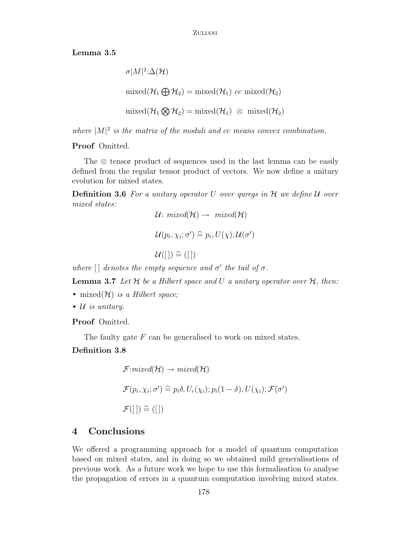Lemma 3.5

```
\sigma |M|^2:\Delta(\mathcal{H})mixed(\mathcal{H}_1 \bigoplus \mathcal{H}_2) = mixed(\mathcal{H}_1) \; cc \; mixed(\mathcal{H}_2)\text{mixed}(\mathcal{H}_1 \bigotimes \mathcal{H}_2) = \text{mixed}(\mathcal{H}_1) \supset \emptyset \text{ mixed}(\mathcal{H}_2)
```
where  $|M|^2$  is the matrix of the moduli and cc means convex combination.

#### Proof Omitted.

The ⊗ tensor product of sequences used in the last lemma can be easily defined from the regular tensor product of vectors. We now define a unitary evolution for mixed states.

**Definition 3.6** For a unitary operator U over quregs in  $H$  we define U over mixed states:

$$
\mathcal{U}: \text{ mixed}(\mathcal{H}) \to \text{ mixed}(\mathcal{H})
$$
\n
$$
\mathcal{U}(p_i, \chi_i; \sigma') \cong p_i, U(\chi); \mathcal{U}(\sigma')
$$
\n
$$
\mathcal{U}([[]) \cong ([])
$$

where  $\left[\right]$  denotes the empty sequence and  $\sigma'$  the tail of  $\sigma$ .

**Lemma 3.7** Let  $H$  be a Hilbert space and U a unitary operator over  $H$ , then:

- mixed $(\mathcal{H})$  is a Hilbert space;
- $U$  is unitary.

Proof Omitted.

The faulty gate  $F$  can be generalised to work on mixed states.

#### Definition 3.8

$$
\mathcal{F}:mixed(\mathcal{H}) \to mixed(\mathcal{H})
$$
  

$$
\mathcal{F}(p_i, \chi_i; \sigma') \cong p_i \delta, U_{\epsilon}(\chi_i); p_i(1-\delta), U(\chi_i); \mathcal{F}(\sigma')
$$
  

$$
\mathcal{F}([[]) \cong ([])
$$

## 4 Conclusions

We offered a programming approach for a model of quantum computation based on mixed states, and in doing so we obtained mild generalisations of previous work. As a future work we hope to use this formalisation to analyse the propagation of errors in a quantum computation involving mixed states.